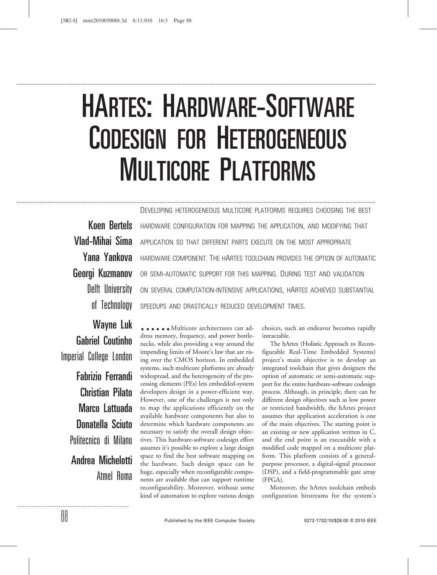# HARTES: HARDWARE-SOFTWARE CODESIGN FOR HETEROGENEOUS MULTICORE PLATFORMS

DEVELOPING HETEROGENEOUS MULTICORE PLATFORMS REQUIRES CHOOSING THE BEST

HARDWARE CONFIGURATION FOR MAPPING THE APPLICATION, AND MODIFYING THAT

HARDWARE COMPONENT. THE HARTES TOOLCHAIN PROVIDES THE OPTION OF AUTOMATIC

ON SEVERAL COMPUTATION-INTENSIVE APPLICATIONS, HARTES ACHIEVED SUBSTANTIAL

OR SEMI-AUTOMATIC SUPPORT FOR THIS MAPPING. DURING TEST AND VALIDATION

SPEEDUPS AND DRASTICALLY REDUCED DEVELOPMENT TIMES.

APPLICATION SO THAT DIFFERENT PARTS EXECUTE ON THE MOST APPROPRIATE

..........................................................................................................................................................................................................................

..........................................................................................................................................................................................................................

Koen Bertels Vlad-Mihai Sima Yana Yankova Georgi Kuzmanov Delft University of Technology

Wayne Luk Gabriel Coutinho Imperial College London

Fabrizio Ferrandi Christian Pilato Marco Lattuada Donatella Sciuto Politecnico di Milano Andrea Michelotti Atmel Roma

......Multicore architectures can address memory, frequency, and power bottlenecks, while also providing a way around the impending limits of Moore's law that are rising over the CMOS horizon. In embedded systems, such multicore platforms are already widespread, and the heterogeneity of the processing elements (PEs) lets embedded-system developers design in a power-efficient way. However, one of the challenges is not only to map the applications efficiently on the available hardware components but also to determine which hardware components are necessary to satisfy the overall design objectives. This hardware-software codesign effort assumes it's possible to explore a large design space to find the best software mapping on the hardware. Such design space can be huge, especially when reconfigurable components are available that can support runtime reconfigurability. Moreover, without some kind of automation to explore various design

choices, such an endeavor becomes rapidly intractable.

The hArtes (Holistic Approach to Reconfigurable Real-Time Embedded Systems) project's main objective is to develop an integrated toolchain that gives designers the option of automatic or semi-automatic support for the entire hardware-software codesign process. Although, in principle, there can be different design objectives such as low power or restricted bandwidth, the hArtes project assumes that application acceleration is one of the main objectives. The starting point is an existing or new application written in C, and the end point is an executable with a modified code mapped on a multicore platform. This platform consists of a generalpurpose processor, a digital-signal processor (DSP), and a field-programmable gate array (FPGA).

Moreover, the hArtes toolchain embeds configuration bitstreams for the system's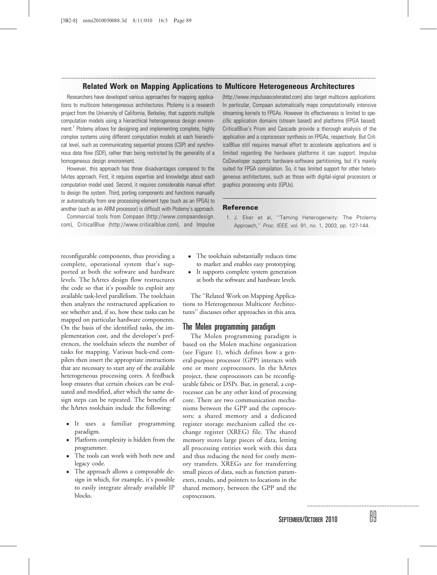## ............................................................................................................................................................................................... Related Work on Mapping Applications to Multicore Heterogeneous Architectures

Researchers have developed various approaches for mapping applications to multicore heterogeneous architectures. Ptolemy is a research project from the University of California, Berkeley, that supports multiple computation models using a hierarchical heterogeneous design environment.<sup>1</sup> Ptolemy allows for designing and implementing complete, highly complex systems using different computation models at each hierarchical level, such as communicating sequential process (CSP) and synchronous data flow (SDF), rather than being restricted by the generality of a homogeneous design environment.

However, this approach has three disadvantages compared to the hArtes approach. First, it requires expertise and knowledge about each computation model used. Second, it requires considerable manual effort to design the system. Third, porting components and functions manually or automatically from one processing-element type (such as an FPGA) to another (such as an ARM processor) is difficult with Ptolemy's approach.

Commercial tools from Compaan (http://www.compaandesign. com), CriticalBlue (http://www.criticalblue.com), and Impulse (http://www.impulseaccelerated.com) also target multicore applications. In particular, Compaan automatically maps computationally intensive streaming kernels to FPGAs. However its effectiveness is limited to specific application domains (stream based) and platforms (FPGA based). CriticalBlue's Prism and Cascade provide a thorough analysis of the application and a coprocessor synthesis on FPGAs, respectively. But CriticalBlue still requires manual effort to accelerate applications and is limited regarding the hardware platforms it can support. Impulse CoDeveloper supports hardware-software partitioning, but it's mainly suited for FPGA compilation. So, it has limited support for other heterogeneous architectures, such as those with digital-signal processors or graphics processing units (GPUs).

#### **Reference**

1. J. Eker et al, ''Taming Heterogeneity: The Ptolemy Approach,'' Proc. IEEE, vol. 91, no. 1, 2003, pp. 127-144.

reconfigurable components, thus providing a complete, operational system that's supported at both the software and hardware levels. The hArtes design flow restructures the code so that it's possible to exploit any available task-level parallelism. The toolchain then analyzes the restructured application to see whether and, if so, how these tasks can be mapped on particular hardware components. On the basis of the identified tasks, the implementation cost, and the developer's preferences, the toolchain selects the number of tasks for mapping. Various back-end compilers then insert the appropriate instructions that are necessary to start any of the available heterogeneous processing cores. A feedback loop ensures that certain choices can be evaluated and modified, after which the same design steps can be repeated. The benefits of the hArtes toolchain include the following:

- It uses a familiar programming paradigm.
- Platform complexity is hidden from the programmer.
- The tools can work with both new and legacy code.
- The approach allows a composable design in which, for example, it's possible to easily integrate already available IP blocks.
- The toolchain substantially reduces time to market and enables easy prototyping.
- It supports complete system generation at both the software and hardware levels.

The ''Related Work on Mapping Applications to Heterogeneous Multicore Architectures'' discusses other approaches in this area.

## The Molen programming paradigm

The Molen programming paradigm is based on the Molen machine organization (see Figure 1), which defines how a general-purpose processor (GPP) interacts with one or more coprocessors. In the hArtes project, these coprocessors can be reconfigurable fabric or DSPs. But, in general, a coprocessor can be any other kind of processing core. There are two communication mechanisms between the GPP and the coprocessors: a shared memory and a dedicated register storage mechanism called the exchange register (XREG) file. The shared memory stores large pieces of data, letting all processing entities work with this data and thus reducing the need for costly memory transfers. XREGs are for transferring small pieces of data, such as function parameters, results, and pointers to locations in the shared memory, between the GPP and the coprocessors.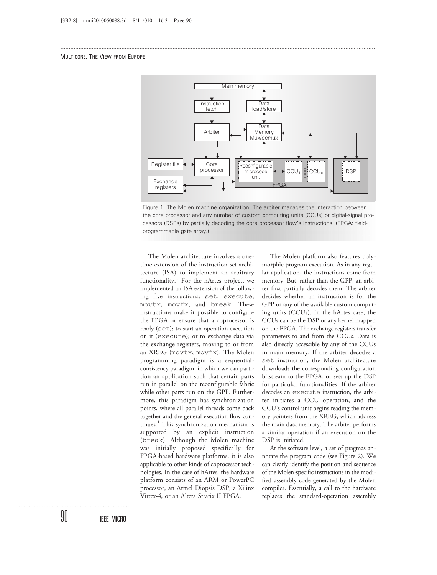

Figure 1. The Molen machine organization. The arbiter manages the interaction between the core processor and any number of custom computing units (CCUs) or digital-signal processors (DSPs) by partially decoding the core processor flow's instructions. (FPGA: fieldprogrammable gate array.)

The Molen architecture involves a onetime extension of the instruction set architecture (ISA) to implement an arbitrary functionality.<sup>1</sup> For the hArtes project, we implemented an ISA extension of the following five instructions: set, execute, movtx, movfx, and break. These instructions make it possible to configure the FPGA or ensure that a coprocessor is ready (set); to start an operation execution on it (execute); or to exchange data via the exchange registers, moving to or from an XREG (movtx, movfx). The Molen programming paradigm is a sequentialconsistency paradigm, in which we can partition an application such that certain parts run in parallel on the reconfigurable fabric while other parts run on the GPP. Furthermore, this paradigm has synchronization points, where all parallel threads come back together and the general execution flow continues.<sup>1</sup> This synchronization mechanism is supported by an explicit instruction (break). Although the Molen machine was initially proposed specifically for FPGA-based hardware platforms, it is also applicable to other kinds of coprocessor technologies. In the case of hArtes, the hardware platform consists of an ARM or PowerPC processor, an Atmel Diopsis DSP, a Xilinx Virtex-4, or an Altera Stratix II FPGA.

The Molen platform also features polymorphic program execution. As in any regular application, the instructions come from memory. But, rather than the GPP, an arbiter first partially decodes them. The arbiter decides whether an instruction is for the GPP or any of the available custom computing units (CCUs). In the hArtes case, the CCUs can be the DSP or any kernel mapped on the FPGA. The exchange registers transfer parameters to and from the CCUs. Data is also directly accessible by any of the CCUs in main memory. If the arbiter decodes a set instruction, the Molen architecture downloads the corresponding configuration bitstream to the FPGA, or sets up the DSP for particular functionalities. If the arbiter decodes an execute instruction, the arbiter initiates a CCU operation, and the CCU's control unit begins reading the memory pointers from the XREG, which address the main data memory. The arbiter performs a similar operation if an execution on the DSP is initiated.

At the software level, a set of pragmas annotate the program code (see Figure 2). We can clearly identify the position and sequence of the Molen-specific instructions in the modified assembly code generated by the Molen compiler. Essentially, a call to the hardware replaces the standard-operation assembly

 $\begin{bmatrix} 0 \\ 1 \end{bmatrix}$  ifff micro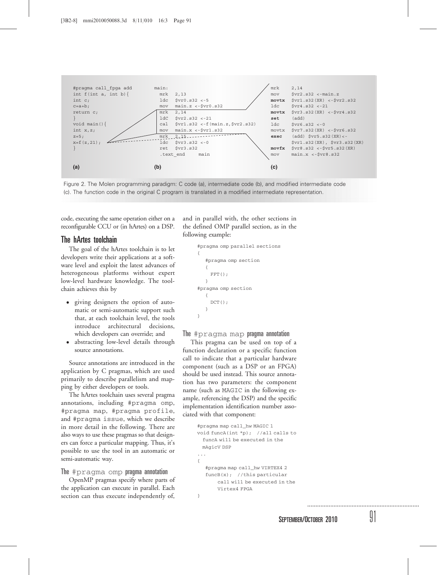

Figure 2. The Molen programming paradigm: C code (a), intermediate code (b), and modified intermediate code (c). The function code in the original C program is translated in a modified intermediate representation.

code, executing the same operation either on a reconfigurable CCU or (in hArtes) on a DSP.

## The hArtes toolchain

The goal of the hArtes toolchain is to let developers write their applications at a software level and exploit the latest advances of heterogeneous platforms without expert low-level hardware knowledge. The toolchain achieves this by

- giving designers the option of automatic or semi-automatic support such that, at each toolchain level, the tools introduce architectural decisions, which developers can override; and
- abstracting low-level details through source annotations.

Source annotations are introduced in the application by C pragmas, which are used primarily to describe parallelism and mapping by either developers or tools.

The hArtes toolchain uses several pragma annotations, including #pragma omp, #pragma map, #pragma profile, and #pragma issue, which we describe in more detail in the following. There are also ways to use these pragmas so that designers can force a particular mapping. Thus, it's possible to use the tool in an automatic or semi-automatic way.

The #pragma omp pragma annotation

OpenMP pragmas specify where parts of the application can execute in parallel. Each section can thus execute independently of, and in parallel with, the other sections in the defined OMP parallel section, as in the following example:

```
#pragma omp parallel sections
{
   #pragma omp section
   {
    FFT();
   }
#pragma omp section
   {
    DCT ( ) \, ;
   }
}
```
The #pragma map pragma annotation

This pragma can be used on top of a function declaration or a specific function call to indicate that a particular hardware component (such as a DSP or an FPGA) should be used instead. This source annotation has two parameters: the component name (such as MAGIC in the following example, referencing the DSP) and the specific implementation identification number associated with that component:

```
#pragma map call_hw MAGIC 1
void funcA(int *p); //all calls to
 funcA will be executed in the
 mAgicV DSP
...
{
  #pragma map call_hw VIRTEX4 2
  funcB(x); //this particular
       call will be executed in the
       Virtex4 FPGA
}
```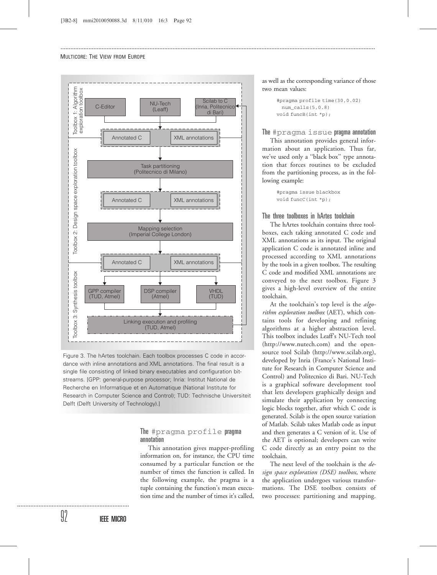

...............................................................................................................................................................................................

Figure 3. The hArtes toolchain. Each toolbox processes C code in accordance with inline annotations and XML annotations. The final result is a single file consisting of linked binary executables and configuration bitstreams. [GPP: general-purpose processor; Inria: Institut National de Recherche en Informatique et en Automatique (National Institute for Research in Computer Science and Control); TUD: Technische Universiteit Delft (Delft University of Technology).]

#### The #pragma profile pragma annotation

This annotation gives mapper-profiling information on, for instance, the CPU time consumed by a particular function or the number of times the function is called. In the following example, the pragma is a tuple containing the function's mean execution time and the number of times it's called,

as well as the corresponding variance of those two mean values:

```
#pragma profile time(30,0.02)
 num_calls(5,0.8)
void funcB(int *p);
```
The #pragma issue pragma annotation

This annotation provides general information about an application. Thus far, we've used only a ''black box'' type annotation that forces routines to be excluded from the partitioning process, as in the following example:

> #pragma issue blackbox void funcC(int \*p);

The three toolboxes in hArtes toolchain

The hArtes toolchain contains three toolboxes, each taking annotated C code and XML annotations as its input. The original application C code is annotated inline and processed according to XML annotations by the tools in a given toolbox. The resulting C code and modified XML annotations are conveyed to the next toolbox. Figure 3 gives a high-level overview of the entire toolchain.

At the toolchain's top level is the *algo*rithm exploration toolbox (AET), which contains tools for developing and refining algorithms at a higher abstraction level. This toolbox includes Leaff's NU-Tech tool (http://www.nutech.com) and the opensource tool Scilab (http://www.scilab.org), developed by Inria (France's National Institute for Research in Computer Science and Control) and Politecnico di Bari. NU-Tech is a graphical software development tool that lets developers graphically design and simulate their application by connecting logic blocks together, after which C code is generated. Scilab is the open source variation of Matlab. Scilab takes Matlab code as input and then generates a C version of it. Use of the AET is optional; developers can write C code directly as an entry point to the toolchain.

The next level of the toolchain is the design space exploration (DSE) toolbox, where the application undergoes various transformations. The DSE toolbox consists of two processes: partitioning and mapping.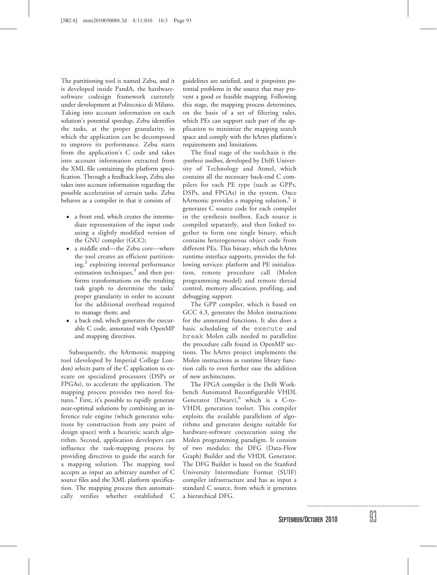The partitioning tool is named Zebu, and it is developed inside PandA, the hardwaresoftware codesign framework currently under development at Politecnico di Milano. Taking into account information on each solution's potential speedup, Zebu identifies the tasks, at the proper granularity, in which the application can be decomposed to improve its performance. Zebu starts from the application's C code and takes into account information extracted from the XML file containing the platform specification. Through a feedback loop, Zebu also takes into account information regarding the possible acceleration of certain tasks. Zebu behaves as a compiler in that it consists of

- a front end, which creates the intermediate representation of the input code using a slightly modified version of the GNU compiler (GCC);
- a middle end—the Zebu core—where the tool creates an efficient partition $ing<sub>1</sub><sup>2</sup>$  exploiting internal performance estimation techniques, $3$  and then performs transformations on the resulting task graph to determine the tasks' proper granularity in order to account for the additional overhead required to manage them; and
- a back end, which generates the executable C code, annotated with OpenMP and mapping directives.

Subsequently, the hArmonic mapping tool (developed by Imperial College London) selects parts of the C application to execute on specialized processors (DSPs or FPGAs), to accelerate the application. The mapping process provides two novel features.<sup>4</sup> First, it's possible to rapidly generate near-optimal solutions by combining an inference rule engine (which generates solutions by construction from any point of design space) with a heuristic search algorithm. Second, application developers can influence the task-mapping process by providing directives to guide the search for a mapping solution. The mapping tool accepts as input an arbitrary number of C source files and the XML platform specification. The mapping process then automatically verifies whether established C guidelines are satisfied, and it pinpoints potential problems in the source that may prevent a good or feasible mapping. Following this stage, the mapping process determines, on the basis of a set of filtering rules, which PEs can support each part of the application to minimize the mapping search space and comply with the hArtes platform's requirements and limitations.

The final stage of the toolchain is the synthesis toolbox, developed by Delft University of Technology and Atmel, which contains all the necessary back-end C compilers for each PE type (such as GPPs, DSPs, and FPGAs) in the system. Once hArmonic provides a mapping solution,<sup>5</sup> it generates C source code for each compiler in the synthesis toolbox. Each source is compiled separately, and then linked together to form one single binary, which contains heterogeneous object code from different PEs. This binary, which the hArtes runtime interface supports, provides the following services: platform and PE initialization, remote procedure call (Molen programming model) and remote thread control, memory allocation, profiling, and debugging support.

The GPP compiler, which is based on GCC 4.3, generates the Molen instructions for the annotated functions. It also does a basic scheduling of the execute and break Molen calls needed to parallelize the procedure calls found in OpenMP sections. The hArtes project implements the Molen instructions as runtime library function calls to even further ease the addition of new architectures.

The FPGA compiler is the Delft Workbench Automated Reconfigurable VHDL Generator  $(Dwary)$ , which is a C-to-VHDL generation toolset. This compiler exploits the available parallelism of algorithms and generates designs suitable for hardware-software coexecution using the Molen programming paradigm. It consists of two modules: the DFG (Data-Flow Graph) Builder and the VHDL Generator. The DFG Builder is based on the Stanford University Intermediate Format (SUIF) compiler infrastructure and has as input a standard C source, from which it generates a hierarchical DFG.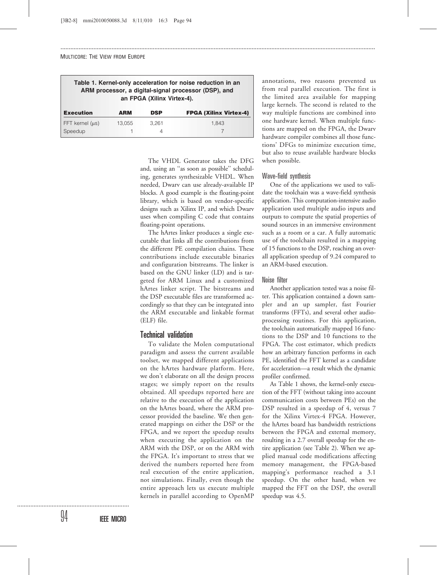| Table 1. Kernel-only acceleration for noise reduction in an<br>ARM processor, a digital-signal processor (DSP), and<br>an FPGA (Xilinx Virtex-4). |            |            |                               |  |  |  |
|---------------------------------------------------------------------------------------------------------------------------------------------------|------------|------------|-------------------------------|--|--|--|
| <b>Execution</b>                                                                                                                                  | <b>ARM</b> | <b>DSP</b> | <b>FPGA (Xilinx Virtex-4)</b> |  |  |  |
| FFT kernel $(us)$<br>Speedup                                                                                                                      | 13.055     | 3.261<br>4 | 1.843                         |  |  |  |

The VHDL Generator takes the DFG and, using an ''as soon as possible'' scheduling, generates synthesizable VHDL. When needed, Dwarv can use already-available IP blocks. A good example is the floating-point library, which is based on vendor-specific designs such as Xilinx IP, and which Dwarv uses when compiling C code that contains floating-point operations.

...............................................................................................................................................................................................

The hArtes linker produces a single executable that links all the contributions from the different PE compilation chains. These contributions include executable binaries and configuration bitstreams. The linker is based on the GNU linker (LD) and is targeted for ARM Linux and a customized hArtes linker script. The bitstreams and the DSP executable files are transformed accordingly so that they can be integrated into the ARM executable and linkable format (ELF) file.

## Technical validation

To validate the Molen computational paradigm and assess the current available toolset, we mapped different applications on the hArtes hardware platform. Here, we don't elaborate on all the design process stages; we simply report on the results obtained. All speedups reported here are relative to the execution of the application on the hArtes board, where the ARM processor provided the baseline. We then generated mappings on either the DSP or the FPGA, and we report the speedup results when executing the application on the ARM with the DSP, or on the ARM with the FPGA. It's important to stress that we derived the numbers reported here from real execution of the entire application, not simulations. Finally, even though the entire approach lets us execute multiple kernels in parallel according to OpenMP

annotations, two reasons prevented us from real parallel execution. The first is the limited area available for mapping large kernels. The second is related to the way multiple functions are combined into one hardware kernel. When multiple functions are mapped on the FPGA, the Dwarv hardware compiler combines all those functions' DFGs to minimize execution time, but also to reuse available hardware blocks when possible.

#### Wave-field synthesis

One of the applications we used to validate the toolchain was a wave-field synthesis application. This computation-intensive audio application used multiple audio inputs and outputs to compute the spatial properties of sound sources in an immersive environment such as a room or a car. A fully automatic use of the toolchain resulted in a mapping of 15 functions to the DSP, reaching an overall application speedup of 9.24 compared to an ARM-based execution.

#### Noise filter

Another application tested was a noise filter. This application contained a down sampler and an up sampler, fast Fourier transforms (FFTs), and several other audioprocessing routines. For this application, the toolchain automatically mapped 16 functions to the DSP and 10 functions to the FPGA. The cost estimator, which predicts how an arbitrary function performs in each PE, identified the FFT kernel as a candidate for acceleration—a result which the dynamic profiler confirmed.

As Table 1 shows, the kernel-only execution of the FFT (without taking into account communication costs between PEs) on the DSP resulted in a speedup of 4, versus 7 for the Xilinx Virtex-4 FPGA. However, the hArtes board has bandwidth restrictions between the FPGA and external memory, resulting in a 2.7 overall speedup for the entire application (see Table 2). When we applied manual code modifications affecting memory management, the FPGA-based mapping's performance reached a 3.1 speedup. On the other hand, when we mapped the FFT on the DSP, the overall speedup was 4.5.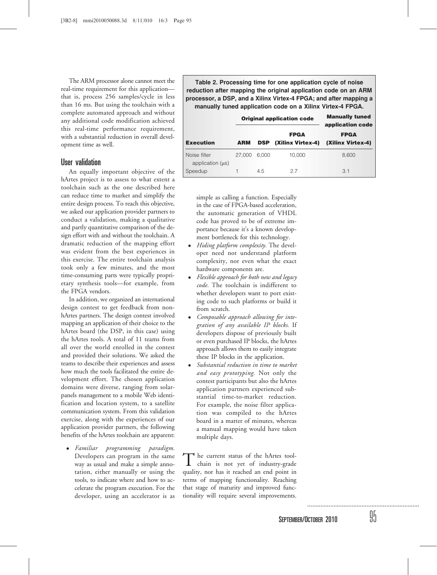The ARM processor alone cannot meet the real-time requirement for this application that is, process 256 samples/cycle in less than 16 ms. But using the toolchain with a complete automated approach and without any additional code modification achieved this real-time performance requirement, with a substantial reduction in overall development time as well.

## User validation

An equally important objective of the hArtes project is to assess to what extent a toolchain such as the one described here can reduce time to market and simplify the entire design process. To reach this objective, we asked our application provider partners to conduct a validation, making a qualitative and partly quantitative comparison of the design effort with and without the toolchain. A dramatic reduction of the mapping effort was evident from the best experiences in this exercise. The entire toolchain analysis took only a few minutes, and the most time-consuming parts were typically proprietary synthesis tools—for example, from the FPGA vendors.

In addition, we organized an international design contest to get feedback from nonhArtes partners. The design contest involved mapping an application of their choice to the hArtes board (the DSP, in this case) using the hArtes tools. A total of 11 teams from all over the world enrolled in the contest and provided their solutions. We asked the teams to describe their experiences and assess how much the tools facilitated the entire development effort. The chosen application domains were diverse, ranging from solarpanels management to a mobile Web identification and location system, to a satellite communication system. From this validation exercise, along with the experiences of our application provider partners, the following benefits of the hArtes toolchain are apparent:

 Familiar programming paradigm. Developers can program in the same way as usual and make a simple annotation, either manually or using the tools, to indicate where and how to accelerate the program execution. For the developer, using an accelerator is as

Table 2. Processing time for one application cycle of noise reduction after mapping the original application code on an ARM processor, a DSP, and a Xilinx Virtex-4 FPGA; and after mapping a manually tuned application code on a Xilinx Virtex-4 FPGA.

|                                       | <b>Original application code</b> |            |                                  | <b>Manually tuned</b><br>application code |
|---------------------------------------|----------------------------------|------------|----------------------------------|-------------------------------------------|
| <b>Execution</b>                      | ARM                              | <b>DSP</b> | <b>FPGA</b><br>(Xilinx Virtex-4) | <b>FPGA</b><br>(Xilinx Virtex-4)          |
| Noise filter<br>application $(\mu s)$ | 27,000                           | 6.000      | 10.000                           | 8,600                                     |
| Speedup                               |                                  | 4.5        | 27                               | 3.1                                       |

simple as calling a function. Especially in the case of FPGA-based acceleration, the automatic generation of VHDL code has proved to be of extreme importance because it's a known development bottleneck for this technology.

- Hiding platform complexity. The developer need not understand platform complexity, nor even what the exact hardware components are.
- Flexible approach for both new and legacy code. The toolchain is indifferent to whether developers want to port existing code to such platforms or build it from scratch.
- Composable approach allowing for integration of any available IP blocks. If developers dispose of previously built or even purchased IP blocks, the hArtes approach allows them to easily integrate these IP blocks in the application.
- Substantial reduction in time to market and easy prototyping. Not only the contest participants but also the hArtes application partners experienced substantial time-to-market reduction. For example, the noise filter application was compiled to the hArtes board in a matter of minutes, whereas a manual mapping would have taken multiple days.

The current status of the hArtes tool-chain is not yet of industry-grade quality, nor has it reached an end point in terms of mapping functionality. Reaching that stage of maturity and improved functionality will require several improvements.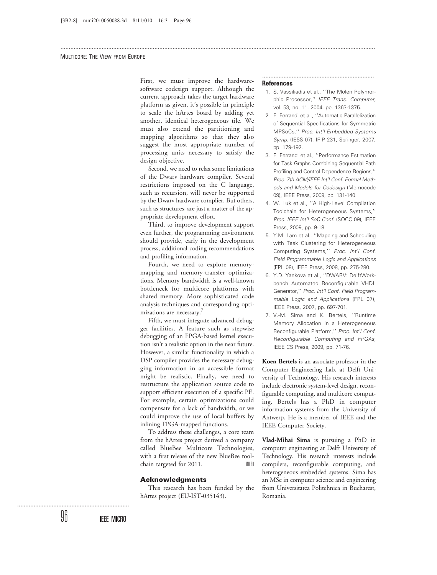First, we must improve the hardwaresoftware codesign support. Although the current approach takes the target hardware platform as given, it's possible in principle to scale the hArtes board by adding yet another, identical heterogeneous tile. We must also extend the partitioning and mapping algorithms so that they also suggest the most appropriate number of processing units necessary to satisfy the design objective.

...............................................................................................................................................................................................

Second, we need to relax some limitations of the Dwarv hardware compiler. Several restrictions imposed on the C language, such as recursion, will never be supported by the Dwarv hardware complier. But others, such as structures, are just a matter of the appropriate development effort.

Third, to improve development support even further, the programming environment should provide, early in the development process, additional coding recommendations and profiling information.

Fourth, we need to explore memorymapping and memory-transfer optimizations. Memory bandwidth is a well-known bottleneck for multicore platforms with shared memory. More sophisticated code analysis techniques and corresponding optimizations are necessary.<sup>7</sup>

Fifth, we must integrate advanced debugger facilities. A feature such as stepwise debugging of an FPGA-based kernel execution isn't a realistic option in the near future. However, a similar functionality in which a DSP compiler provides the necessary debugging information in an accessible format might be realistic. Finally, we need to restructure the application source code to support efficient execution of a specific PE. For example, certain optimizations could compensate for a lack of bandwidth, or we could improve the use of local buffers by inlining FPGA-mapped functions.

To address these challenges, a core team from the hArtes project derived a company called BlueBee Multicore Technologies, with a first release of the new BlueBee toolchain targeted for 2011.

### Acknowledgments

This research has been funded by the hArtes project (EU-IST-035143).

#### References

1. S. Vassiliadis et al., ''The Molen Polymorphic Processor,'' IEEE Trans. Computer, vol. 53, no. 11, 2004, pp. 1363-1375.

....................................................................

- 2. F. Ferrandi et al., ''Automatic Parallelization of Sequential Specifications for Symmetric MPSoCs,'' Proc. Int'l Embedded Systems Symp. (IESS 07), IFIP 231, Springer, 2007, pp. 179-192.
- 3. F. Ferrandi et al., ''Performance Estimation for Task Graphs Combining Sequential Path Profiling and Control Dependence Regions,'' Proc. 7th ACM/IEEE Int'l Conf. Formal Methods and Models for Codesign (Memocode 09), IEEE Press, 2009, pp. 131-140.
- 4. W. Luk et al., ''A High-Level Compilation Toolchain for Heterogeneous Systems,'' Proc. IEEE Int'l SoC Conf. (SOCC 09), IEEE Press, 2009, pp. 9-18.
- 5. Y.M. Lam et al., ''Mapping and Scheduling with Task Clustering for Heterogeneous Computing Systems,'' Proc. Int'l Conf. Field Programmable Logic and Applications (FPL 08), IEEE Press, 2008, pp. 275-280.
- 6. Y.D. Yankova et al., ''DWARV: DelftWorkbench Automated Reconfigurable VHDL Generator,'' Proc. Int'l Conf. Field Programmable Logic and Applications (FPL 07), IEEE Press, 2007, pp. 697-701.
- 7. V.-M. Sima and K. Bertels, ''Runtime Memory Allocation in a Heterogeneous Reconfigurable Platform,'' Proc. Int'l Conf. Reconfigurable Computing and FPGAs, IEEE CS Press, 2009, pp. 71-76.

Koen Bertels is an associate professor in the Computer Engineering Lab, at Delft University of Technology. His research interests include electronic system-level design, reconfigurable computing, and multicore computing. Bertels has a PhD in computer information systems from the University of Antwerp. He is a member of IEEE and the IEEE Computer Society.

Vlad-Mihai Sima is pursuing a PhD in computer engineering at Delft University of Technology. His research interests include compilers, reconfigurable computing, and heterogeneous embedded systems. Sima has an MSc in computer science and engineering from Universitatea Politehnica in Bucharest, Romania.